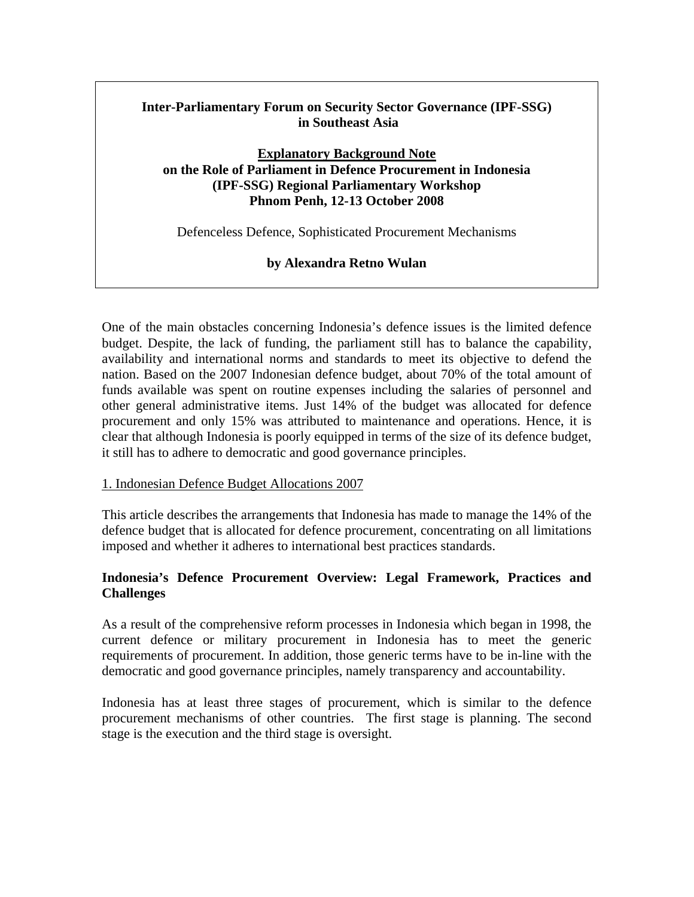# **Inter-Parliamentary Forum on Security Sector Governance (IPF-SSG) in Southeast Asia**

### **Explanatory Background Note on the Role of Parliament in Defence Procurement in Indonesia (IPF-SSG) Regional Parliamentary Workshop Phnom Penh, 12-13 October 2008**

Defenceless Defence, Sophisticated Procurement Mechanisms

### **by Alexandra Retno Wulan**

One of the main obstacles concerning Indonesia's defence issues is the limited defence budget. Despite, the lack of funding, the parliament still has to balance the capability, availability and international norms and standards to meet its objective to defend the nation. Based on the 2007 Indonesian defence budget, about 70% of the total amount of funds available was spent on routine expenses including the salaries of personnel and other general administrative items. Just 14% of the budget was allocated for defence procurement and only 15% was attributed to maintenance and operations. Hence, it is clear that although Indonesia is poorly equipped in terms of the size of its defence budget, it still has to adhere to democratic and good governance principles.

#### 1. Indonesian Defence Budget Allocations 2007

This article describes the arrangements that Indonesia has made to manage the 14% of the defence budget that is allocated for defence procurement, concentrating on all limitations imposed and whether it adheres to international best practices standards.

## **Indonesia's Defence Procurement Overview: Legal Framework, Practices and Challenges**

As a result of the comprehensive reform processes in Indonesia which began in 1998, the current defence or military procurement in Indonesia has to meet the generic requirements of procurement. In addition, those generic terms have to be in-line with the democratic and good governance principles, namely transparency and accountability.

Indonesia has at least three stages of procurement, which is similar to the defence procurement mechanisms of other countries. The first stage is planning. The second stage is the execution and the third stage is oversight.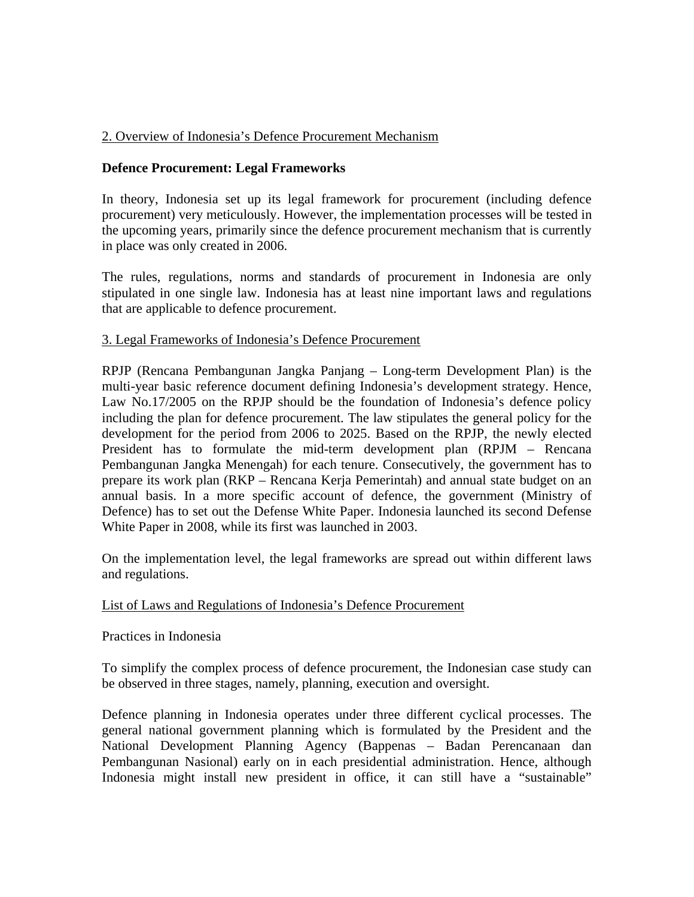## 2. Overview of Indonesia's Defence Procurement Mechanism

### **Defence Procurement: Legal Frameworks**

In theory, Indonesia set up its legal framework for procurement (including defence procurement) very meticulously. However, the implementation processes will be tested in the upcoming years, primarily since the defence procurement mechanism that is currently in place was only created in 2006.

The rules, regulations, norms and standards of procurement in Indonesia are only stipulated in one single law. Indonesia has at least nine important laws and regulations that are applicable to defence procurement.

#### 3. Legal Frameworks of Indonesia's Defence Procurement

RPJP (Rencana Pembangunan Jangka Panjang – Long-term Development Plan) is the multi-year basic reference document defining Indonesia's development strategy. Hence, Law No.17/2005 on the RPJP should be the foundation of Indonesia's defence policy including the plan for defence procurement. The law stipulates the general policy for the development for the period from 2006 to 2025. Based on the RPJP, the newly elected President has to formulate the mid-term development plan (RPJM – Rencana Pembangunan Jangka Menengah) for each tenure. Consecutively, the government has to prepare its work plan (RKP – Rencana Kerja Pemerintah) and annual state budget on an annual basis. In a more specific account of defence, the government (Ministry of Defence) has to set out the Defense White Paper. Indonesia launched its second Defense White Paper in 2008, while its first was launched in 2003.

On the implementation level, the legal frameworks are spread out within different laws and regulations.

#### List of Laws and Regulations of Indonesia's Defence Procurement

#### Practices in Indonesia

To simplify the complex process of defence procurement, the Indonesian case study can be observed in three stages, namely, planning, execution and oversight.

Defence planning in Indonesia operates under three different cyclical processes. The general national government planning which is formulated by the President and the National Development Planning Agency (Bappenas – Badan Perencanaan dan Pembangunan Nasional) early on in each presidential administration. Hence, although Indonesia might install new president in office, it can still have a "sustainable"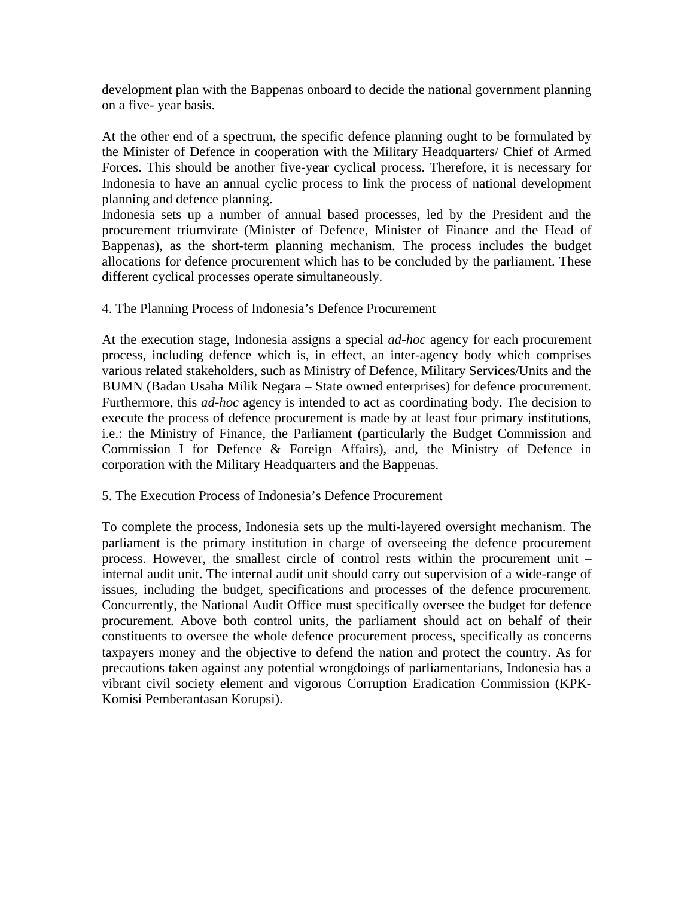development plan with the Bappenas onboard to decide the national government planning on a five- year basis.

At the other end of a spectrum, the specific defence planning ought to be formulated by the Minister of Defence in cooperation with the Military Headquarters/ Chief of Armed Forces. This should be another five-year cyclical process. Therefore, it is necessary for Indonesia to have an annual cyclic process to link the process of national development planning and defence planning.

Indonesia sets up a number of annual based processes, led by the President and the procurement triumvirate (Minister of Defence, Minister of Finance and the Head of Bappenas), as the short-term planning mechanism. The process includes the budget allocations for defence procurement which has to be concluded by the parliament. These different cyclical processes operate simultaneously.

#### 4. The Planning Process of Indonesia's Defence Procurement

At the execution stage, Indonesia assigns a special *ad-hoc* agency for each procurement process, including defence which is, in effect, an inter-agency body which comprises various related stakeholders, such as Ministry of Defence, Military Services/Units and the BUMN (Badan Usaha Milik Negara – State owned enterprises) for defence procurement. Furthermore, this *ad-hoc* agency is intended to act as coordinating body. The decision to execute the process of defence procurement is made by at least four primary institutions, i.e.: the Ministry of Finance, the Parliament (particularly the Budget Commission and Commission I for Defence & Foreign Affairs), and, the Ministry of Defence in corporation with the Military Headquarters and the Bappenas.

#### 5. The Execution Process of Indonesia's Defence Procurement

To complete the process, Indonesia sets up the multi-layered oversight mechanism. The parliament is the primary institution in charge of overseeing the defence procurement process. However, the smallest circle of control rests within the procurement unit – internal audit unit. The internal audit unit should carry out supervision of a wide-range of issues, including the budget, specifications and processes of the defence procurement. Concurrently, the National Audit Office must specifically oversee the budget for defence procurement. Above both control units, the parliament should act on behalf of their constituents to oversee the whole defence procurement process, specifically as concerns taxpayers money and the objective to defend the nation and protect the country. As for precautions taken against any potential wrongdoings of parliamentarians, Indonesia has a vibrant civil society element and vigorous Corruption Eradication Commission (KPK-Komisi Pemberantasan Korupsi).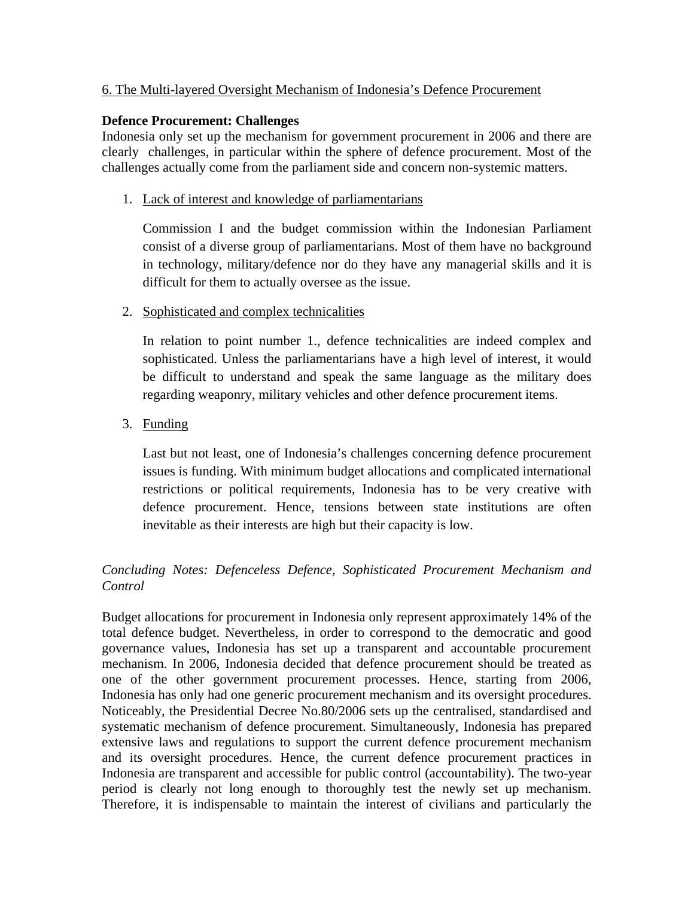## 6. The Multi-layered Oversight Mechanism of Indonesia's Defence Procurement

### **Defence Procurement: Challenges**

Indonesia only set up the mechanism for government procurement in 2006 and there are clearly challenges, in particular within the sphere of defence procurement. Most of the challenges actually come from the parliament side and concern non-systemic matters.

1. Lack of interest and knowledge of parliamentarians

Commission I and the budget commission within the Indonesian Parliament consist of a diverse group of parliamentarians. Most of them have no background in technology, military/defence nor do they have any managerial skills and it is difficult for them to actually oversee as the issue.

#### 2. Sophisticated and complex technicalities

In relation to point number 1., defence technicalities are indeed complex and sophisticated. Unless the parliamentarians have a high level of interest, it would be difficult to understand and speak the same language as the military does regarding weaponry, military vehicles and other defence procurement items.

3. Funding

Last but not least, one of Indonesia's challenges concerning defence procurement issues is funding. With minimum budget allocations and complicated international restrictions or political requirements, Indonesia has to be very creative with defence procurement. Hence, tensions between state institutions are often inevitable as their interests are high but their capacity is low.

# *Concluding Notes: Defenceless Defence, Sophisticated Procurement Mechanism and Control*

Budget allocations for procurement in Indonesia only represent approximately 14% of the total defence budget. Nevertheless, in order to correspond to the democratic and good governance values, Indonesia has set up a transparent and accountable procurement mechanism. In 2006, Indonesia decided that defence procurement should be treated as one of the other government procurement processes. Hence, starting from 2006, Indonesia has only had one generic procurement mechanism and its oversight procedures. Noticeably, the Presidential Decree No.80/2006 sets up the centralised, standardised and systematic mechanism of defence procurement. Simultaneously, Indonesia has prepared extensive laws and regulations to support the current defence procurement mechanism and its oversight procedures. Hence, the current defence procurement practices in Indonesia are transparent and accessible for public control (accountability). The two-year period is clearly not long enough to thoroughly test the newly set up mechanism. Therefore, it is indispensable to maintain the interest of civilians and particularly the